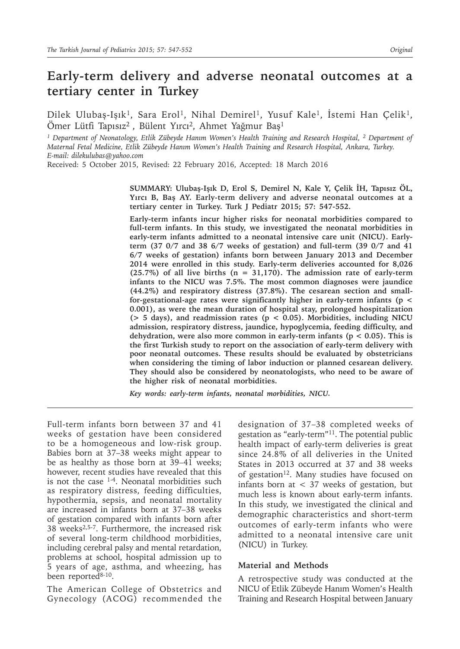# **Early-term delivery and adverse neonatal outcomes at a tertiary center in Turkey**

Dilek Ulubaş-Işık<sup>1</sup>, Sara Erol<sup>1</sup>, Nihal Demirel<sup>1</sup>, Yusuf Kale<sup>1</sup>, İstemi Han Çelik<sup>1</sup>, Ömer Lütfi Tapısız2 , Bülent Yırcı2, Ahmet Yağmur Baş<sup>1</sup>

<sup>1</sup> Department of Neonatology, Etlik Zübeyde Hanım Women's Health Training and Research Hospital, <sup>2</sup> Department of *Maternal Fetal Medicine, Etlik Zübeyde Hanım Women's Health Training and Research Hospital, Ankara, Turkey. E-mail: dilekulubas@yahoo.com*

Received: 5 October 2015, Revised: 22 February 2016, Accepted: 18 March 2016

**SUMMARY: Ulubaş-Işık D, Erol S, Demirel N, Kale Y, Çelik İH, Tapısız ÖL, Yırcı B, Baş AY. Early-term delivery and adverse neonatal outcomes at a tertiary center in Turkey. Turk J Pediatr 2015; 57: 547-552.**

**Early-term infants incur higher risks for neonatal morbidities compared to full-term infants. In this study, we investigated the neonatal morbidities in early-term infants admitted to a neonatal intensive care unit (NICU). Earlyterm (37 0/7 and 38 6/7 weeks of gestation) and full-term (39 0/7 and 41 6/7 weeks of gestation) infants born between January 2013 and December 2014 were enrolled in this study. Early-term deliveries accounted for 8,026 (25.7%) of all live births (n = 31,170). The admission rate of early-term infants to the NICU was 7.5%. The most common diagnoses were jaundice (44.2%) and respiratory distress (37.8%). The cesarean section and smallfor-gestational-age rates were significantly higher in early-term infants (p < 0.001), as were the mean duration of hospital stay, prolonged hospitalization (> 5 days), and readmission rates (p < 0.05). Morbidities, including NICU admission, respiratory distress, jaundice, hypoglycemia, feeding difficulty, and dehydration, were also more common in early-term infants (p < 0.05). This is the first Turkish study to report on the association of early-term delivery with poor neonatal outcomes. These results should be evaluated by obstetricians when considering the timing of labor induction or planned cesarean delivery. They should also be considered by neonatologists, who need to be aware of the higher risk of neonatal morbidities.**

*Key words: early-term infants, neonatal morbidities, NICU.*

Full-term infants born between 37 and 41 weeks of gestation have been considered to be a homogeneous and low-risk group. Babies born at 37–38 weeks might appear to be as healthy as those born at 39–41 weeks; however, recent studies have revealed that this is not the case  $1-4$ . Neonatal morbidities such as respiratory distress, feeding difficulties, hypothermia, sepsis, and neonatal mortality are increased in infants born at 37–38 weeks of gestation compared with infants born after 38 weeks2,5-7. Furthermore, the increased risk of several long-term childhood morbidities, including cerebral palsy and mental retardation, problems at school, hospital admission up to 5 years of age, asthma, and wheezing, has been reported<sup>8-10</sup>.

The American College of Obstetrics and Gynecology (ACOG) recommended the designation of 37–38 completed weeks of gestation as "early-term"<sup>11</sup>. The potential public health impact of early-term deliveries is great since 24.8% of all deliveries in the United States in 2013 occurred at 37 and 38 weeks of gestation<sup>12</sup>. Many studies have focused on infants born at < 37 weeks of gestation, but much less is known about early-term infants. In this study, we investigated the clinical and demographic characteristics and short-term outcomes of early-term infants who were admitted to a neonatal intensive care unit (NICU) in Turkey.

#### **Material and Methods**

A retrospective study was conducted at the NICU of Etlik Zübeyde Hanım Women's Health Training and Research Hospital between January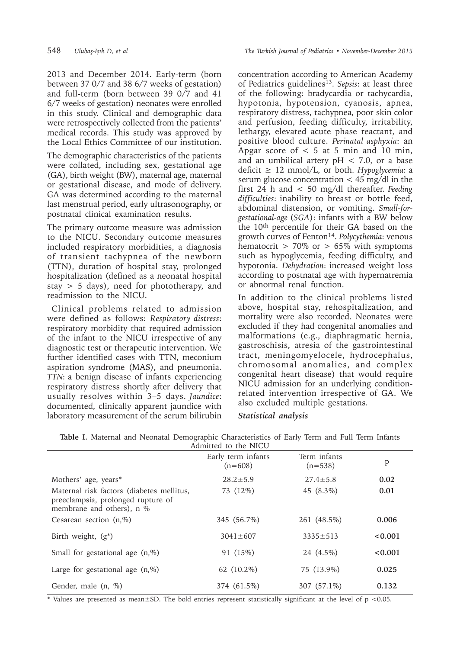2013 and December 2014. Early-term (born between 37 0/7 and 38 6/7 weeks of gestation) and full-term (born between 39 0/7 and 41 6/7 weeks of gestation) neonates were enrolled in this study. Clinical and demographic data were retrospectively collected from the patients' medical records. This study was approved by the Local Ethics Committee of our institution.

The demographic characteristics of the patients were collated, including sex, gestational age (GA), birth weight (BW), maternal age, maternal or gestational disease, and mode of delivery. GA was determined according to the maternal last menstrual period, early ultrasonography, or postnatal clinical examination results.

The primary outcome measure was admission to the NICU. Secondary outcome measures included respiratory morbidities, a diagnosis of transient tachypnea of the newborn (TTN), duration of hospital stay, prolonged hospitalization (defined as a neonatal hospital stay > 5 days), need for phototherapy, and readmission to the NICU.

 Clinical problems related to admission were defined as follows: *Respiratory distress*: respiratory morbidity that required admission of the infant to the NICU irrespective of any diagnostic test or therapeutic intervention. We further identified cases with TTN, meconium aspiration syndrome (MAS), and pneumonia. *TTN*: a benign disease of infants experiencing respiratory distress shortly after delivery that usually resolves within 3–5 days. *Jaundice*: documented, clinically apparent jaundice with laboratory measurement of the serum bilirubin

concentration according to American Academy of Pediatrics guidelines<sup>13</sup>. Sepsis: at least three of the following: bradycardia or tachycardia, hypotonia, hypotension, cyanosis, apnea, respiratory distress, tachypnea, poor skin color and perfusion, feeding difficulty, irritability, lethargy, elevated acute phase reactant, and positive blood culture. *Perinatal asphyxia*: an Apgar score of  $\lt$  5 at 5 min and 10 min, and an umbilical artery  $pH < 7.0$ , or a base deficit ≥ 12 mmol/L, or both. *Hypoglycemia*: a serum glucose concentration  $\langle 45 \rangle$  mg/dl in the first 24 h and < 50 mg/dl thereafter. *Feeding difficulties*: inability to breast or bottle feed, abdominal distension, or vomiting. *Small-forgestational-age* (*SGA*): infants with a BW below the 10th percentile for their GA based on the growth curves of Fenton14. *Polycythemia*: venous hematocrit  $> 70\%$  or  $> 65\%$  with symptoms such as hypoglycemia, feeding difficulty, and hypotonia. *Dehydration*: increased weight loss according to postnatal age with hypernatremia or abnormal renal function.

In addition to the clinical problems listed above, hospital stay, rehospitalization, and mortality were also recorded. Neonates were excluded if they had congenital anomalies and malformations (e.g., diaphragmatic hernia, gastroschisis, atresia of the gastrointestinal tract, meningomyelocele, hydrocephalus, chromosomal anomalies, and complex congenital heart disease) that would require NICU admission for an underlying conditionrelated intervention irrespective of GA. We also excluded multiple gestations.

### *Statistical analysis*

| Admitted to the NICU                                                                                         |                                 |                           |         |  |
|--------------------------------------------------------------------------------------------------------------|---------------------------------|---------------------------|---------|--|
|                                                                                                              | Early term infants<br>$(n=608)$ | Term infants<br>$(n=538)$ | P       |  |
| Mothers' age, years*                                                                                         | $28.2 \pm 5.9$                  | $27.4 \pm 5.8$            | 0.02    |  |
| Maternal risk factors (diabetes mellitus,<br>preeclampsia, prolonged rupture of<br>membrane and others), n % | 73 (12%)                        | 45 (8.3%)                 | 0.01    |  |
| Cesarean section $(n, %)$                                                                                    | 345 (56.7%)                     | 261 (48.5%)               | 0.006   |  |
| Birth weight, $(g^*)$                                                                                        | $3041 \pm 607$                  | $3335 \pm 513$            | < 0.001 |  |
| Small for gestational age $(n, %)$                                                                           | 91 (15%)                        | 24 (4.5%)                 | < 0.001 |  |
| Large for gestational age $(n, \%)$                                                                          | 62 (10.2%)                      | 75 (13.9%)                | 0.025   |  |
| Gender, male $(n, %)$                                                                                        | 374 (61.5%)                     | 307 (57.1%)               | 0.132   |  |

**Table I.** Maternal and Neonatal Demographic Characteristics of Early Term and Full Term Infants

\* Values are presented as mean±SD. The bold entries represent statistically significant at the level of  $p < 0.05$ .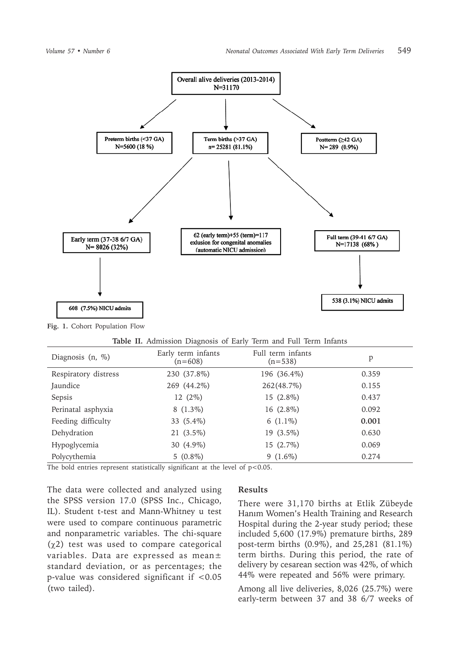

**Fig. 1.** Cohort Population Flow

| Table II. Admission Diagnosis of Early Term and Full Term Infants |  |
|-------------------------------------------------------------------|--|
|-------------------------------------------------------------------|--|

| Diagnosis $(n, %)$   | Early term infants<br>$(n=608)$ | Full term infants<br>$(n=538)$ | p     |
|----------------------|---------------------------------|--------------------------------|-------|
| Respiratory distress | 230 (37.8%)                     | 196 (36.4%)                    | 0.359 |
| Jaundice             | 269 (44.2%)                     | 262(48.7%)                     | 0.155 |
| Sepsis               | 12 (2%)                         | 15 (2.8%)                      | 0.437 |
| Perinatal asphyxia   | $8(1.3\%)$                      | 16 $(2.8\%)$                   | 0.092 |
| Feeding difficulty   | 33 (5.4%)                       | 6 $(1.1\%)$                    | 0.001 |
| Dehydration          | $21(3.5\%)$                     | $19(3.5\%)$                    | 0.630 |
| Hypoglycemia         | 30 (4.9%)                       | $15(2.7\%)$                    | 0.069 |
| Polycythemia         | $5(0.8\%)$                      | $9(1.6\%)$                     | 0.274 |

The bold entries represent statistically significant at the level of  $p<0.05$ .

The data were collected and analyzed using the SPSS version 17.0 (SPSS Inc., Chicago, IL). Student t-test and Mann-Whitney u test were used to compare continuous parametric and nonparametric variables. The chi-square  $(\gamma 2)$  test was used to compare categorical variables. Data are expressed as mean± standard deviation, or as percentages; the p-value was considered significant if <0.05 (two tailed).

#### **Results**

There were 31,170 births at Etlik Zübeyde Hanım Women's Health Training and Research Hospital during the 2-year study period; these included 5,600 (17.9%) premature births, 289 post-term births (0.9%), and 25,281 (81.1%) term births. During this period, the rate of delivery by cesarean section was 42%, of which 44% were repeated and 56% were primary.

Among all live deliveries, 8,026 (25.7%) were early-term between 37 and 38 6/7 weeks of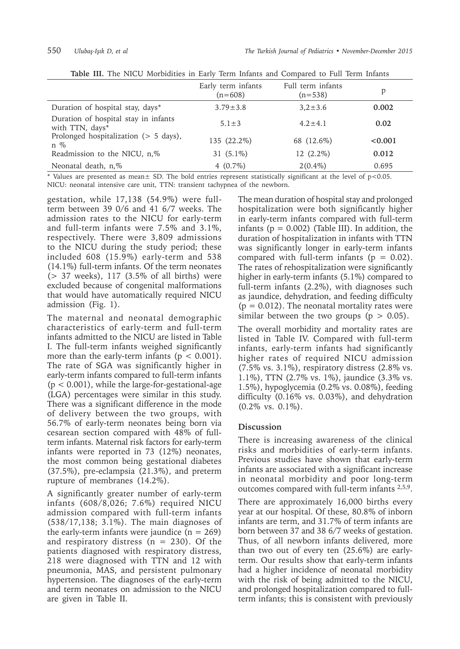|                                                            | Early term infants<br>$(n=608)$ | Full term infants<br>$(n=538)$ | р       |
|------------------------------------------------------------|---------------------------------|--------------------------------|---------|
| Duration of hospital stay, days*                           | $3.79 \pm 3.8$                  | $3,2 \pm 3.6$                  | 0.002   |
| Duration of hospital stay in infants<br>with TTN, days*    | $5.1 \pm 3$                     | $4.2 \pm 4.1$                  | 0.02    |
| Prolonged hospitalization $(> 5 \text{ days})$ ,<br>$n \%$ | 135 (22.2%)                     | 68 (12.6%)                     | < 0.001 |
| Readmission to the NICU, n,%                               | 31 $(5.1\%)$                    | $12(2.2\%)$                    | 0.012   |
| Neonatal death, n,%                                        | 4 $(0.7\%)$                     | $2(0.4\%)$                     | 0.695   |

**Table III.** The NICU Morbidities in Early Term Infants and Compared to Full Term Infants

\* Values are presented as mean± SD. The bold entries represent statistically significant at the level of p<0.05. NICU: neonatal intensive care unit, TTN: transient tachypnea of the newborn.

gestation, while 17,138 (54.9%) were fullterm between 39 0/6 and 41 6/7 weeks. The admission rates to the NICU for early-term and full-term infants were 7.5% and 3.1%, respectively. There were 3,809 admissions to the NICU during the study period; these included 608 (15.9%) early-term and 538 (14.1%) full-term infants. Of the term neonates  $(> 37$  weeks),  $117$   $(3.5\%$  of all births) were excluded because of congenital malformations that would have automatically required NICU admission (Fig. 1).

The maternal and neonatal demographic characteristics of early-term and full-term infants admitted to the NICU are listed in Table I. The full-term infants weighed significantly more than the early-term infants ( $p < 0.001$ ). The rate of SGA was significantly higher in early-term infants compared to full-term infants  $(p < 0.001)$ , while the large-for-gestational-age (LGA) percentages were similar in this study. There was a significant difference in the mode of delivery between the two groups, with 56.7% of early-term neonates being born via cesarean section compared with 48% of fullterm infants. Maternal risk factors for early-term infants were reported in 73 (12%) neonates, the most common being gestational diabetes (37.5%), pre-eclampsia (21.3%), and preterm rupture of membranes (14.2%).

A significantly greater number of early-term infants (608/8,026; 7.6%) required NICU admission compared with full-term infants (538/17,138; 3.1%). The main diagnoses of the early-term infants were jaundice  $(n = 269)$ and respiratory distress ( $n = 230$ ). Of the patients diagnosed with respiratory distress, 218 were diagnosed with TTN and 12 with pneumonia, MAS, and persistent pulmonary hypertension. The diagnoses of the early-term and term neonates on admission to the NICU are given in Table II.

The mean duration of hospital stay and prolonged hospitalization were both significantly higher in early-term infants compared with full-term infants ( $p = 0.002$ ) (Table III). In addition, the duration of hospitalization in infants with TTN was significantly longer in early-term infants compared with full-term infants ( $p = 0.02$ ). The rates of rehospitalization were significantly higher in early-term infants (5.1%) compared to full-term infants (2.2%), with diagnoses such as jaundice, dehydration, and feeding difficulty  $(p = 0.012)$ . The neonatal mortality rates were similar between the two groups ( $p > 0.05$ ).

The overall morbidity and mortality rates are listed in Table IV. Compared with full-term infants, early-term infants had significantly higher rates of required NICU admission  $(7.5\% \text{ vs. } 3.1\%),$  respiratory distress  $(2.8\% \text{ vs. } 3.1\%)$ 1.1%), TTN (2.7% vs. 1%), jaundice (3.3% vs. 1.5%), hypoglycemia (0.2% vs. 0.08%), feeding difficulty (0.16% vs. 0.03%), and dehydration (0.2% vs. 0.1%).

## **Discussion**

There is increasing awareness of the clinical risks and morbidities of early-term infants. Previous studies have shown that early-term infants are associated with a significant increase in neonatal morbidity and poor long-term outcomes compared with full-term infants 2,5,9.

There are approximately 16,000 births every year at our hospital. Of these, 80.8% of inborn infants are term, and 31.7% of term infants are born between 37 and 38 6/7 weeks of gestation. Thus, of all newborn infants delivered, more than two out of every ten (25.6%) are earlyterm. Our results show that early-term infants had a higher incidence of neonatal morbidity with the risk of being admitted to the NICU, and prolonged hospitalization compared to fullterm infants; this is consistent with previously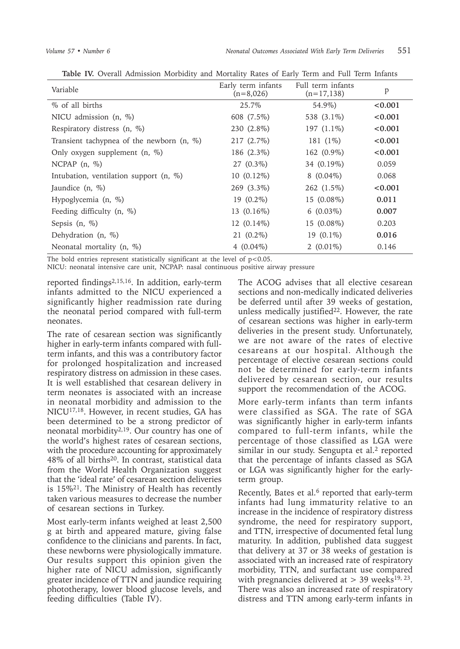| Variable                                    | Early term infants<br>$(n=8,026)$ | Full term infants<br>$(n=17, 138)$ | p       |
|---------------------------------------------|-----------------------------------|------------------------------------|---------|
| % of all births                             | 25.7%                             | 54.9%)                             | < 0.001 |
| NICU admission (n, %)                       | 608 (7.5%)                        | 538 (3.1%)                         | < 0.001 |
| Respiratory distress (n, %)                 | 230 (2.8%)                        | 197 $(1.1\%)$                      | < 0.001 |
| Transient tachypnea of the newborn $(n, %)$ | 217 (2.7%)                        | 181 (1%)                           | < 0.001 |
| Only oxygen supplement $(n, %)$             | 186 (2.3%)                        | 162 (0.9%)                         | < 0.001 |
| NCPAP $(n, \%)$                             | 27 (0.3%)                         | 34 (0.19%)                         | 0.059   |
| Intubation, ventilation support $(n, %)$    | $10(0.12\%)$                      | $8(0.04\%)$                        | 0.068   |
| Jaundice $(n, %)$                           | 269 (3.3%)                        | 262 (1.5%)                         | < 0.001 |
| Hypoglycemia (n, %)                         | $19(0.2\%)$                       | 15 (0.08%)                         | 0.011   |
| Feeding difficulty $(n, %)$                 | 13 (0.16%)                        | $6(0.03\%)$                        | 0.007   |
| Sepsis (n, %)                               | $12(0.14\%)$                      | 15 (0.08%)                         | 0.203   |
| Dehydration $(n, %)$                        | $21(0.2\%)$                       | 19 $(0.1\%)$                       | 0.016   |
| Neonatal mortality $(n, %)$                 | $4(0.04\%)$                       | 2 $(0.01\%)$                       | 0.146   |

**Table IV.** Overall Admission Morbidity and Mortality Rates of Early Term and Full Term Infants

The bold entries represent statistically significant at the level of  $p<0.05$ .

NICU: neonatal intensive care unit, NCPAP: nasal continuous positive airway pressure

reported findings2,15,16. In addition, early-term infants admitted to the NICU experienced a significantly higher readmission rate during the neonatal period compared with full-term neonates.

The rate of cesarean section was significantly higher in early-term infants compared with fullterm infants, and this was a contributory factor for prolonged hospitalization and increased respiratory distress on admission in these cases. It is well established that cesarean delivery in term neonates is associated with an increase in neonatal morbidity and admission to the NICU17,18. However, in recent studies, GA has been determined to be a strong predictor of neonatal morbidity<sup>2,19</sup>. Our country has one of the world's highest rates of cesarean sections, with the procedure accounting for approximately 48% of all births20. In contrast, statistical data from the World Health Organization suggest that the 'ideal rate' of cesarean section deliveries is 15%<sup>21</sup>. The Ministry of Health has recently taken various measures to decrease the number of cesarean sections in Turkey.

Most early-term infants weighed at least 2,500 g at birth and appeared mature, giving false confidence to the clinicians and parents. In fact, these newborns were physiologically immature. Our results support this opinion given the higher rate of NICU admission, significantly greater incidence of TTN and jaundice requiring phototherapy, lower blood glucose levels, and feeding difficulties (Table IV).

The ACOG advises that all elective cesarean sections and non-medically indicated deliveries be deferred until after 39 weeks of gestation, unless medically justified<sup>22</sup>. However, the rate of cesarean sections was higher in early-term deliveries in the present study. Unfortunately, we are not aware of the rates of elective cesareans at our hospital. Although the percentage of elective cesarean sections could not be determined for early-term infants delivered by cesarean section, our results support the recommendation of the ACOG.

More early-term infants than term infants were classified as SGA. The rate of SGA was significantly higher in early-term infants compared to full-term infants, while the percentage of those classified as LGA were similar in our study. Sengupta et al.<sup>2</sup> reported that the percentage of infants classed as SGA or LGA was significantly higher for the earlyterm group.

Recently, Bates et al. $6$  reported that early-term infants had lung immaturity relative to an increase in the incidence of respiratory distress syndrome, the need for respiratory support, and TTN, irrespective of documented fetal lung maturity. In addition, published data suggest that delivery at 37 or 38 weeks of gestation is associated with an increased rate of respiratory morbidity, TTN, and surfactant use compared with pregnancies delivered at  $> 39$  weeks<sup>19, 23</sup>. There was also an increased rate of respiratory distress and TTN among early-term infants in